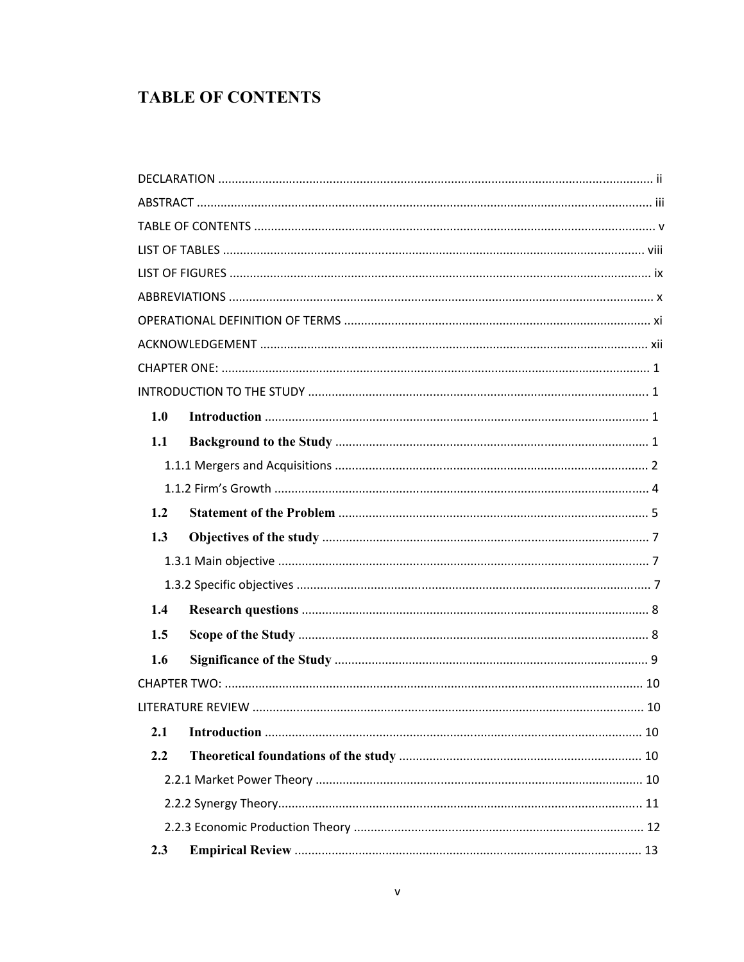## **TABLE OF CONTENTS**

| 1.0 |  |
|-----|--|
| 1.1 |  |
|     |  |
|     |  |
| 1.2 |  |
| 1.3 |  |
|     |  |
|     |  |
| 1.4 |  |
| 1.5 |  |
| 1.6 |  |
|     |  |
|     |  |
| 2.1 |  |
| 2.2 |  |
|     |  |
|     |  |
|     |  |
| 2.3 |  |